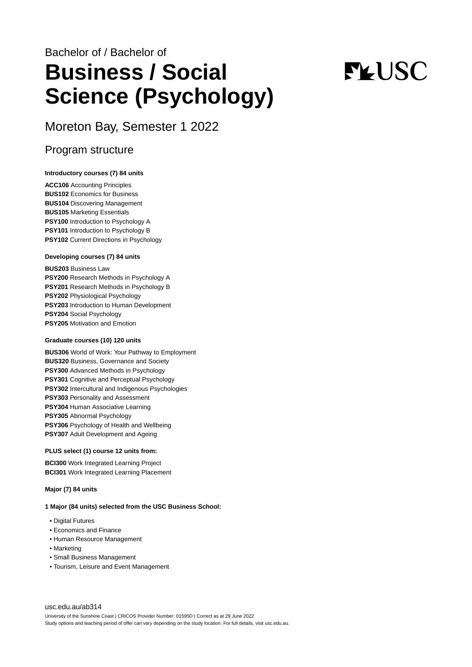# Bachelor of / Bachelor of **Business / Social Science (Psychology)**

# **FLUSC**

Moreton Bay, Semester 1 2022

# Program structure

#### **Introductory courses (7) 84 units**

**ACC106** Accounting Principles **BUS102** Economics for Business **BUS104** Discovering Management **BUS105** Marketing Essentials **PSY100** Introduction to Psychology A **PSY101** Introduction to Psychology B **PSY102** Current Directions in Psychology

#### **Developing courses (7) 84 units**

**BUS203** Business Law **PSY200** Research Methods in Psychology A **PSY201** Research Methods in Psychology B **PSY202** Physiological Psychology **PSY203** Introduction to Human Development **PSY204** Social Psychology **PSY205** Motivation and Emotion

#### **Graduate courses (10) 120 units**

**BUS306** World of Work: Your Pathway to Employment **BUS320** Business, Governance and Society **PSY300** Advanced Methods in Psychology **PSY301** Cognitive and Perceptual Psychology **PSY302** Intercultural and Indigenous Psychologies **PSY303** Personality and Assessment **PSY304** Human Associative Learning **PSY305** Abnormal Psychology **PSY306** Psychology of Health and Wellbeing **PSY307** Adult Development and Ageing

#### **PLUS select (1) course 12 units from:**

**BCI300** Work Integrated Learning Project **BCI301** Work Integrated Learning Placement

#### **Major (7) 84 units**

#### **1 Major (84 units) selected from the USC Business School:**

- Digital Futures
- Economics and Finance
- Human Resource Management
- Marketing
- Small Business Management
- Tourism, Leisure and Event Management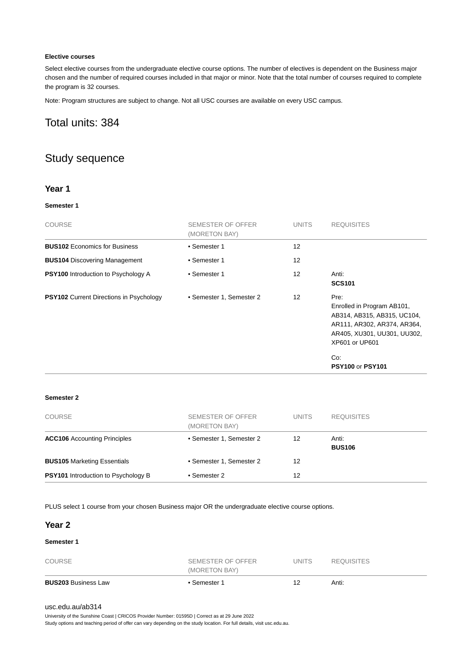#### **Elective courses**

Select elective courses from the undergraduate elective course options. The number of electives is dependent on the Business major chosen and the number of required courses included in that major or minor. Note that the total number of courses required to complete the program is 32 courses.

Note: Program structures are subject to change. Not all USC courses are available on every USC campus.

# Total units: 384

# Study sequence

#### **Year 1**

#### **Semester 1**

| <b>COURSE</b>                                  | SEMESTER OF OFFER<br>(MORETON BAY) | <b>UNITS</b>      | <b>REQUISITES</b>                                                                                                                                                                   |
|------------------------------------------------|------------------------------------|-------------------|-------------------------------------------------------------------------------------------------------------------------------------------------------------------------------------|
| <b>BUS102</b> Economics for Business           | • Semester 1                       | 12                |                                                                                                                                                                                     |
| <b>BUS104</b> Discovering Management           | • Semester 1                       | $12 \overline{ }$ |                                                                                                                                                                                     |
| <b>PSY100</b> Introduction to Psychology A     | • Semester 1                       | $12 \overline{ }$ | Anti:<br><b>SCS101</b>                                                                                                                                                              |
| <b>PSY102</b> Current Directions in Psychology | • Semester 1, Semester 2           | $12 \overline{ }$ | Pre:<br>Enrolled in Program AB101,<br>AB314, AB315, AB315, UC104,<br>AR111, AR302, AR374, AR364,<br>AR405, XU301, UU301, UU302,<br>XP601 or UP601<br>Co.<br><b>PSY100 or PSY101</b> |

#### **Semester 2**

| <b>COURSE</b>                              | SEMESTER OF OFFER<br>(MORETON BAY) | <b>UNITS</b> | <b>REQUISITES</b>      |
|--------------------------------------------|------------------------------------|--------------|------------------------|
| <b>ACC106</b> Accounting Principles        | • Semester 1, Semester 2           | 12           | Anti:<br><b>BUS106</b> |
| <b>BUS105 Marketing Essentials</b>         | • Semester 1, Semester 2           | 12           |                        |
| <b>PSY101</b> Introduction to Psychology B | • Semester 2                       | 12           |                        |

PLUS select 1 course from your chosen Business major OR the undergraduate elective course options.

#### **Year 2**

#### **Semester 1**

| <b>BUS203 Business Law</b> | ∙ Semester 1      |        | Anti:             |  |
|----------------------------|-------------------|--------|-------------------|--|
|                            | (MORETON BAY)     |        |                   |  |
| <b>COURSE</b>              | SEMESTER OF OFFER | UNITS. | <b>REQUISITES</b> |  |

#### [usc.edu.au/ab314](https://www.usc.edu.au/ab314)

University of the Sunshine Coast | CRICOS Provider Number: 01595D | Correct as at 29 June 2022

Study options and teaching period of offer can vary depending on the study location. For full details, visit usc.edu.au.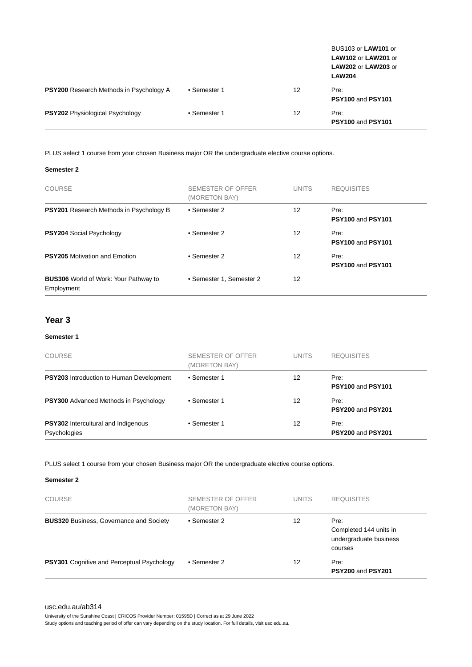|                                                |              |    | BUS103 or LAW101 or<br>LAW102 or LAW201 or<br>LAW202 or LAW203 or<br><b>LAW204</b> |
|------------------------------------------------|--------------|----|------------------------------------------------------------------------------------|
| <b>PSY200</b> Research Methods in Psychology A | • Semester 1 | 12 | Pre:<br>PSY100 and PSY101                                                          |
| <b>PSY202</b> Physiological Psychology         | • Semester 1 | 12 | Pre:<br>PSY100 and PSY101                                                          |

PLUS select 1 course from your chosen Business major OR the undergraduate elective course options.

#### **Semester 2**

| <b>COURSE</b>                                              | SEMESTER OF OFFER<br>(MORETON BAY) | <b>UNITS</b> | <b>REQUISITES</b>                |
|------------------------------------------------------------|------------------------------------|--------------|----------------------------------|
| <b>PSY201</b> Research Methods in Psychology B             | • Semester 2                       | 12           | Pre:<br>PSY100 and PSY101        |
| <b>PSY204 Social Psychology</b>                            | • Semester 2                       | 12           | Pre:<br>PSY100 and PSY101        |
| <b>PSY205</b> Motivation and Emotion                       | • Semester 2                       | 12           | Pre:<br><b>PSY100 and PSY101</b> |
| <b>BUS306</b> World of Work: Your Pathway to<br>Employment | • Semester 1, Semester 2           | 12           |                                  |

#### **Year 3**

#### **Semester 1**

| <b>COURSE</b>                                              | SEMESTER OF OFFER<br>(MORETON BAY) | <b>UNITS</b> | <b>REQUISITES</b>         |
|------------------------------------------------------------|------------------------------------|--------------|---------------------------|
| <b>PSY203</b> Introduction to Human Development            | • Semester 1                       | 12           | Pre:<br>PSY100 and PSY101 |
| <b>PSY300</b> Advanced Methods in Psychology               | • Semester 1                       | 12           | Pre:<br>PSY200 and PSY201 |
| <b>PSY302</b> Intercultural and Indigenous<br>Psychologies | • Semester 1                       | 12           | Pre:<br>PSY200 and PSY201 |

#### PLUS select 1 course from your chosen Business major OR the undergraduate elective course options.

#### **Semester 2**

| <b>COURSE</b>                                     | SEMESTER OF OFFER<br>(MORETON BAY) | <b>UNITS</b> | <b>REQUISITES</b>                                                   |
|---------------------------------------------------|------------------------------------|--------------|---------------------------------------------------------------------|
| <b>BUS320 Business, Governance and Society</b>    | • Semester 2                       | 12           | Pre:<br>Completed 144 units in<br>undergraduate business<br>courses |
| <b>PSY301</b> Cognitive and Perceptual Psychology | • Semester 2                       | 12           | Pre:<br>PSY200 and PSY201                                           |

University of the Sunshine Coast | CRICOS Provider Number: 01595D | Correct as at 29 June 2022

Study options and teaching period of offer can vary depending on the study location. For full details, visit usc.edu.au.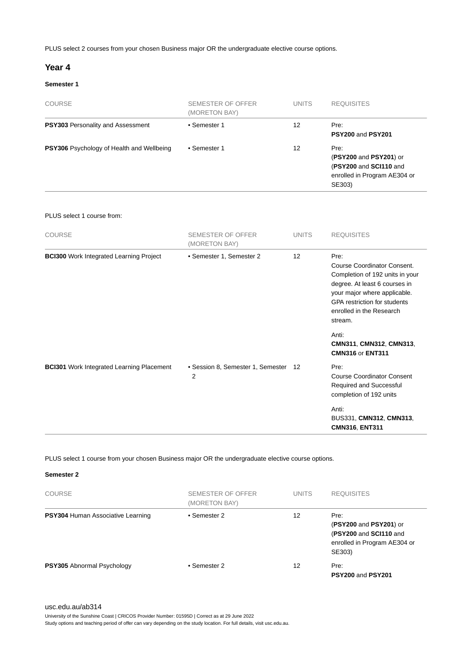PLUS select 2 courses from your chosen Business major OR the undergraduate elective course options.

#### **Year 4**

#### **Semester 1**

| <b>COURSE</b>                             | SEMESTER OF OFFER<br>(MORETON BAY) | <b>UNITS</b> | <b>REQUISITES</b>                                                                                  |
|-------------------------------------------|------------------------------------|--------------|----------------------------------------------------------------------------------------------------|
| PSY303 Personality and Assessment         | • Semester 1                       | 12           | Pre:<br><b>PSY200 and PSY201</b>                                                                   |
| PSY306 Psychology of Health and Wellbeing | • Semester 1                       | 12           | Pre:<br>(PSY200 and PSY201) or<br>(PSY200 and SCI110 and<br>enrolled in Program AE304 or<br>SE303) |

#### PLUS select 1 course from:

| <b>COURSE</b>                                                                                      | SEMESTER OF OFFER<br>(MORETON BAY)     | <b>UNITS</b> | <b>REQUISITES</b>                                                                                                                                                                                                     |
|----------------------------------------------------------------------------------------------------|----------------------------------------|--------------|-----------------------------------------------------------------------------------------------------------------------------------------------------------------------------------------------------------------------|
| <b>BCI300</b> Work Integrated Learning Project<br><b>BCI301</b> Work Integrated Learning Placement | • Semester 1, Semester 2               | 12           | Pre:<br>Course Coordinator Consent.<br>Completion of 192 units in your<br>degree. At least 6 courses in<br>your major where applicable.<br><b>GPA</b> restriction for students<br>enrolled in the Research<br>stream. |
|                                                                                                    |                                        |              | Anti:<br>CMN311, CMN312, CMN313,<br><b>CMN316 or ENT311</b>                                                                                                                                                           |
|                                                                                                    | • Session 8, Semester 1, Semester<br>2 | 12           | Pre:<br><b>Course Coordinator Consent</b><br>Required and Successful<br>completion of 192 units                                                                                                                       |
|                                                                                                    |                                        |              | Anti:<br>BUS331, CMN312, CMN313,<br>CMN316, ENT311                                                                                                                                                                    |

PLUS select 1 course from your chosen Business major OR the undergraduate elective course options.

#### **Semester 2**

| <b>COURSE</b>                            | SEMESTER OF OFFER<br>(MORETON BAY) | <b>UNITS</b> | <b>REQUISITES</b>                                                                                  |
|------------------------------------------|------------------------------------|--------------|----------------------------------------------------------------------------------------------------|
| <b>PSY304 Human Associative Learning</b> | • Semester 2                       | 12           | Pre:<br>(PSY200 and PSY201) or<br>(PSY200 and SCI110 and<br>enrolled in Program AE304 or<br>SE303) |
| <b>PSY305</b> Abnormal Psychology        | • Semester 2                       | 12           | Pre:<br>PSY200 and PSY201                                                                          |

[usc.edu.au/ab314](https://www.usc.edu.au/ab314)

University of the Sunshine Coast | CRICOS Provider Number: 01595D | Correct as at 29 June 2022

Study options and teaching period of offer can vary depending on the study location. For full details, visit usc.edu.au.